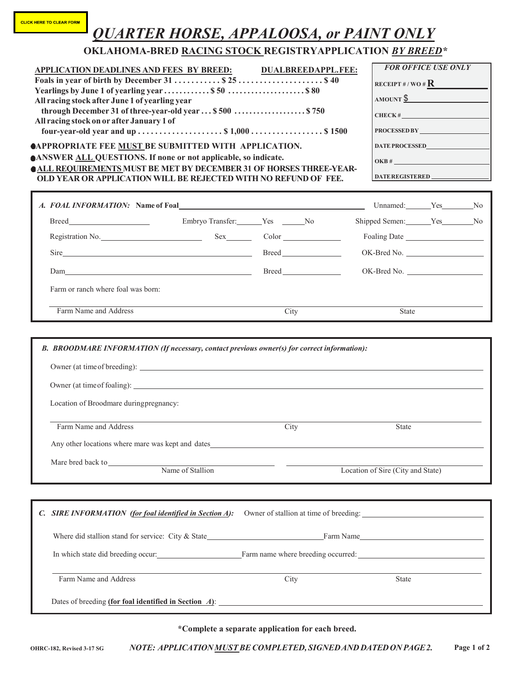## *QUARTER HORSE, APPALOOSA, or PAINT ONLY*

|                                                                                                                                                                                                                                                                                                                                                                                                                                                                                                   | <b>OKLAHOMA-BRED RACING STOCK REGISTRYAPPLICATION BY BREED*</b> |      |                                   |  |                                                                                                      |                            |  |
|---------------------------------------------------------------------------------------------------------------------------------------------------------------------------------------------------------------------------------------------------------------------------------------------------------------------------------------------------------------------------------------------------------------------------------------------------------------------------------------------------|-----------------------------------------------------------------|------|-----------------------------------|--|------------------------------------------------------------------------------------------------------|----------------------------|--|
| <b>APPLICATION DEADLINES AND FEES BY BREED:</b><br>All racing stock after June 1 of yearling year<br>through December 31 of three-year-old year  \$500  \$750<br>All racing stock on or after January 1 of<br><b>@APPROPRIATE FEE MUST BE SUBMITTED WITH APPLICATION.</b><br><b>ANSWER ALL QUESTIONS. If none or not applicable, so indicate.</b><br><b>OALL REQUIREMENTS MUST BE MET BY DECEMBER 31 OF HORSES THREE-YEAR-</b><br>OLD YEAR OR APPLICATION WILL BE REJECTED WITH NO REFUND OF FEE. |                                                                 |      | <b>DUALBREEDAPPL.FEE:</b>         |  | RECEIPT #/WO # $\mathbf{R}$<br>$AMOUNT \frac{6}{3}$<br>$CHECK$ #<br>DATE PROCESSED<br>DATEREGISTERED | <b>FOR OFFICE USE ONLY</b> |  |
| A. FOAL INFORMATION: Name of Foal <b>A. A. FOAL INFORMATION:</b>                                                                                                                                                                                                                                                                                                                                                                                                                                  |                                                                 |      |                                   |  | Unnamed: Yes No                                                                                      |                            |  |
|                                                                                                                                                                                                                                                                                                                                                                                                                                                                                                   |                                                                 |      |                                   |  | Shipped Semen: Yes No                                                                                |                            |  |
|                                                                                                                                                                                                                                                                                                                                                                                                                                                                                                   |                                                                 |      |                                   |  |                                                                                                      |                            |  |
|                                                                                                                                                                                                                                                                                                                                                                                                                                                                                                   |                                                                 |      |                                   |  | OK-Bred No.                                                                                          |                            |  |
|                                                                                                                                                                                                                                                                                                                                                                                                                                                                                                   |                                                                 |      |                                   |  | OK-Bred No.                                                                                          |                            |  |
| Farm Name and Address                                                                                                                                                                                                                                                                                                                                                                                                                                                                             |                                                                 | City |                                   |  | <b>State</b>                                                                                         |                            |  |
| B. BROODMARE INFORMATION (If necessary, contact previous owner(s) for correct information):                                                                                                                                                                                                                                                                                                                                                                                                       |                                                                 |      |                                   |  |                                                                                                      |                            |  |
|                                                                                                                                                                                                                                                                                                                                                                                                                                                                                                   |                                                                 |      |                                   |  |                                                                                                      |                            |  |
| Location of Broodmare duringpregnancy:                                                                                                                                                                                                                                                                                                                                                                                                                                                            |                                                                 |      |                                   |  |                                                                                                      |                            |  |
| Farm Name and Address                                                                                                                                                                                                                                                                                                                                                                                                                                                                             |                                                                 | City |                                   |  | State                                                                                                |                            |  |
|                                                                                                                                                                                                                                                                                                                                                                                                                                                                                                   |                                                                 |      |                                   |  |                                                                                                      |                            |  |
| Mare bred back to<br>Name of Stallion                                                                                                                                                                                                                                                                                                                                                                                                                                                             |                                                                 |      | Location of Sire (City and State) |  |                                                                                                      |                            |  |
| C. SIRE INFORMATION (for foal identified in Section A):                                                                                                                                                                                                                                                                                                                                                                                                                                           |                                                                 |      |                                   |  |                                                                                                      |                            |  |
|                                                                                                                                                                                                                                                                                                                                                                                                                                                                                                   |                                                                 |      |                                   |  |                                                                                                      |                            |  |
| In which state did breeding occur: Farm name where breeding occurred: The matter of the state did breeding occur.                                                                                                                                                                                                                                                                                                                                                                                 |                                                                 |      |                                   |  |                                                                                                      |                            |  |

Dates of breeding **(for foal identified in Section** *A***)**:

**\*Complete a separate application for each breed.**

Farm Name and Address City State